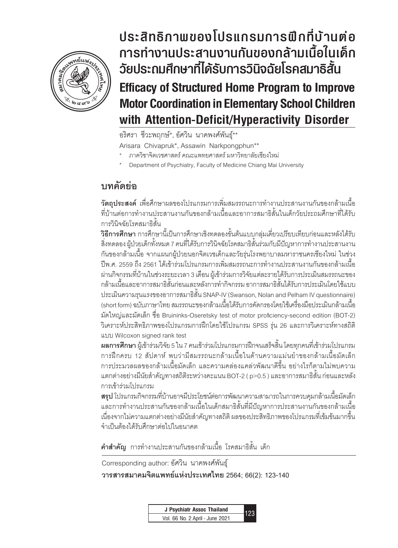

**Efficacy of Structured Home Program to Improve Motor Coordination in Elementary School Children With Att**ention- $\begin{array}{ccc} \n\text{min} & \text{min} & \text{min} \ & \text{min} & \text{min} \ & \text{min} & \text{min} \ & \text{min} & \text{min} & \text{min} \ & \text{min} & \text{min} & \text{min} & \text{min} \ & \text{min} & \text{min} & \text{min} & \text{min} & \text{min} \ & \text{min} & \text{min} & \text{min} & \text{min} & \text{min} & \text{min} & \text{min} \ & \text{min} & \text{min} & \text{min} & \text{min} & \text{min} & \text{min} & \text{min} & \text{min} &$ **ประสิทธิภาพของโปรแกรมการฝึกที่บ้านต ่อ การท�ำงานประสานงานกันของกล้ามเนื้อในเด็ก วัยประถมศึกษาที่ได้รับการวินิจฉัยโรคสมาธิสั้น Efficacy of Structured Home Program to Improve Motor Coordination in Elementary School Children with Attention-Deficit/Hyperactivity Disorder**

อริศรา ชีวะพฤกษ์\*, อัศวิน นาคพงศ์พันธุ์\*\*

Arisara Chivapruk\*, Assawin Narkpongphun\*\*

- \* ภาควิชาจิตเวชศาสตร์ คณะแพทยศาสตร์ มหาวิทยาลัยเชียงใหม่
- Department of Psychiatry, Faculty of Medicine Chiang Mai University

# **บทคัดย่อ**

**วัตถุประสงค์** เพื่อศึกษาผลของโปรแกรมการเพิ่มสมรรถนะการทำงานประสานงานกันของกล้ามเนื้อ ที่บ้านต่อการทำงานประสานงานกันของกล้ามเนื้อและอาการสมาธิสั้นในเด็กวัยประถมศึกษาที่ได้รับ การวินิจฉัยโรคสมาธิสั้น

**วิธีการศึกษา** การศึกษานี้เป็นการศึกษาเชิงทดลองขั้นต้นแบบกลุ่มเดี่ยวเปรียบเทียบก่อนและหลังได้รับ สิ่งทดลอง ผู้ป่วยเด็กทั้งหมด 7 คนที่ได้รับการวินิจฉัยโรคสมาธิสั้นร่วมกับมีปัญหาการท�ำงานประสานงาน กันของกล้ามเนื้อ จากแผนกผู้ป่วยนอกจิตเวชเด็กและวัยรุ่นโรงพยาบาลมหาราชนครเชียงใหม่ ในช่วง ปีพ.ศ. 2559 ถึง 2561 ได้เข้าร่วมโปรแกรมการเพิ่มสมรรถนะการทำงานประสานงานกันของกล้ามเนื้อ ผ่านกิจกรรมที่บ้านในช่วงระยะเวลา 3 เดือน ผู้เข้าร่วมการวิจัยแต่ละรายได้รับการประเมินสมรรถนะของ ึกล้ามเนื้อและอาการสมาธิสั้นก่อนและหลังการทำกิจกรรม อาการสมาธิสั้นได้รับการประเมินโดยใช้แบบ ประเมินความรุนแรงของอาการสมาธิสั้น SNAP-IV (Swanson, Nolan and Pelham IV questionnaire) (short form) ฉบับภาษาไทย สมรรถนะของกล้ามเนื้อได้รับการคัดกรองโดยใช้เครื่องมือประเมินกล้ามเนื้อ มัดใหญ่และมัดเล็ก ชื่อ Bruininks-Oseretsky test of motor proficiency-second edition (BOT-2) วิเคราะห์ประสิทธิภาพของโปรแกรมการฝึกโดยใช้โปรแกรม SPSS รุ่น 26 และการวิเคราะห์ทางสถิติ แบบ Wilcoxon signed rank test

**ผลการศึกษา** ผู้เข้าร่วมวิจัย 5 ใน 7 คนเข้าร่วมโปรแกรมการฝึกจนเสร็จสิ้น โดยทุกคนที่เข้าร่วมโปรแกรม การฝึกครบ 12 สัปดาห์ พบว่ามีสมรรถนะกล้ามเนื้อในด้านความแม่นยำของกล้ามเนื้อมัดเล็ก การประมวลผลของกล้ามเนื้อมัดเล็ก และความคล่องแคล่วพัฒนาดีขึ้น อย่างไรก็ตามไม่พบความ แตกต่างอย่างมีนัยส�ำคัญทางสถิติระหว่างคะแนน BOT-2 ( p>0.5 ) และอาการสมาธิสั้น ก่อนและหลัง การเข้าร่วมโปรแกรม

**สรุป** โปรแกรมกิจกรรมที่บ้านอาจมีประโยชน์ต่อการพัฒนาความสามารถในการควบคุมกล้ามเนื้อมัดเล็ก และการท�ำงานประสานกันของกล้ามเนื้อในเด็กสมาธิสั้นที่มีปัญหาการประสานงานกันของกล้ามเนื้อ เนื่องจากไม่ความแตกต่างอย่างมีนัยสำคัญทางสถิติ ผลของประสิทธิภาพของโปรแกรมที่เข้มข้นมากขึ้น จำเป็นต้องได้รับศึกษาต่อไปในอนาคต

**คำสำคัญ** การทำงานประสานกันของกล้ามเนื้อ โรคสมาธิสั้น เด็ก

Corresponding author: อัศวิน นาคพงศ์พันธุ์

**วารสารสมาคมจิตแพทย์แห่งประเทศไทย 2564; 66(2): 123-140**

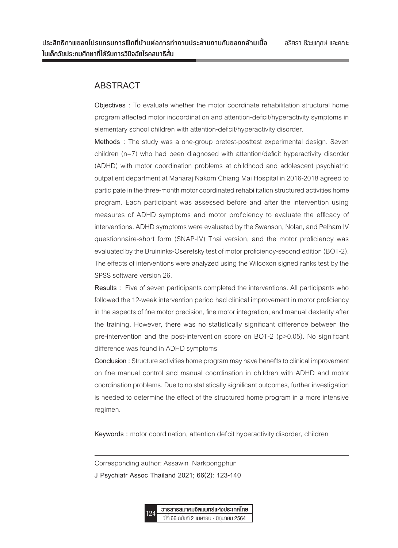# **ABSTRACT**

**Objectives :** To evaluate whether the motor coordinate rehabilitation structural home program affected motor incoordination and attention-deficit/hyperactivity symptoms in elementary school children with attention-deficit/hyperactivity disorder.

**Methods :** The study was a one-group pretest-posttest experimental design. Seven children (n=7) who had been diagnosed with attention/deficit hyperactivity disorder (ADHD) with motor coordination problems at childhood and adolescent psychiatric outpatient department at Maharaj Nakorn Chiang Mai Hospital in 2016-2018 agreed to participate in the three-month motor coordinated rehabilitation structured activities home program. Each participant was assessed before and after the intervention using measures of ADHD symptoms and motor proficiency to evaluate the efficacy of interventions. ADHD symptoms were evaluated by the Swanson, Nolan, and Pelham IV questionnaire-short form (SNAP-IV) Thai version, and the motor proficiency was evaluated by the Bruininks-Oseretsky test of motor proficiency-second edition (BOT-2). The effects of interventions were analyzed using the Wilcoxon signed ranks test by the SPSS software version 26.

**Results :** Five of seven participants completed the interventions. All participants who followed the 12-week intervention period had clinical improvement in motor proficiency in the aspects of fine motor precision, fine motor integration, and manual dexterity after the training. However, there was no statistically significant difference between the pre-intervention and the post-intervention score on BOT-2 (p>0.05). No significant difference was found in ADHD symptoms

**Conclusion :** Structure activities home program may have benefits to clinical improvement on fine manual control and manual coordination in children with ADHD and motor coordination problems. Due to no statistically significant outcomes, further investigation is needed to determine the effect of the structured home program in a more intensive regimen.

**Keywords :** motor coordination, attention deficit hyperactivity disorder, children

Corresponding author: Assawin Narkpongphun

**J Psychiatr Assoc Thailand 2021; 66(2): 123-140**

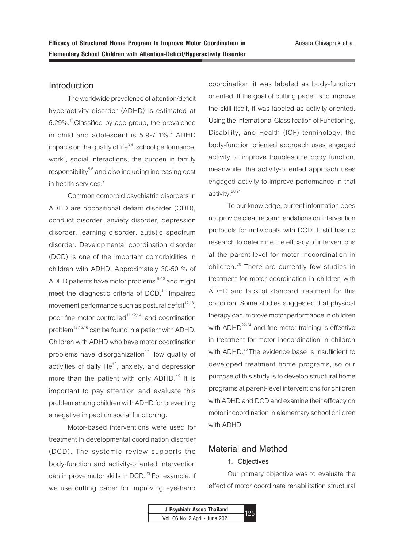### **Introduction**

The worldwide prevalence of attention/deficit hyperactivity disorder (ADHD) is estimated at 5.29%. $^1$  Classified by age group, the prevalence in child and adolescent is  $5.9$ -7.1%. $^2$  ADHD impacts on the quality of life $3,4$ , school performance, work<sup>4</sup>, social interactions, the burden in family responsibility<sup>5,6</sup> and also including increasing cost in health services.<sup>7</sup>

Common comorbid psychiatric disorders in ADHD are oppositional defiant disorder (ODD), conduct disorder, anxiety disorder, depression disorder, learning disorder, autistic spectrum disorder. Developmental coordination disorder (DCD) is one of the important comorbidities in children with ADHD. Approximately 30-50 % of ADHD patients have motor problems. $8-10$  and might meet the diagnostic criteria of  $DCD$ .<sup>11</sup> Impaired movement performance such as postural deficit $12,13$ , poor fine motor controlled<sup>11,12,14,</sup> and coordination problem $^{12,15,16}$  can be found in a patient with ADHD. Children with ADHD who have motor coordination problems have disorganization<sup>17</sup>, low quality of activities of daily life<sup>18</sup>, anxiety, and depression more than the patient with only ADHD.<sup>19</sup> It is important to pay attention and evaluate this problem among children with ADHD for preventing a negative impact on social functioning.

Motor-based interventions were used for treatment in developmental coordination disorder (DCD). The systemic review supports the body-function and activity-oriented intervention can improve motor skills in DCD.<sup>20</sup> For example, if we use cutting paper for improving eye-hand

coordination, it was labeled as body-function oriented. If the goal of cutting paper is to improve the skill itself, it was labeled as activity-oriented. Using the International Classification of Functioning, Disability, and Health (ICF) terminology, the body-function oriented approach uses engaged activity to improve troublesome body function, meanwhile, the activity-oriented approach uses engaged activity to improve performance in that activity.<sup>20,21</sup>

To our knowledge, current information does not provide clear recommendations on intervention protocols for individuals with DCD. It still has no research to determine the efficacy of interventions at the parent-level for motor incoordination in children.<sup>20</sup> There are currently few studies in treatment for motor coordination in children with ADHD and lack of standard treatment for this condition. Some studies suggested that physical therapy can improve motor performance in children with ADHD<sup>22-24</sup> and fine motor training is effective in treatment for motor incoordination in children with ADHD.<sup>25</sup> The evidence base is insufficient to developed treatment home programs, so our purpose of this study is to develop structural home programs at parent-level interventions for children with ADHD and DCD and examine their efficacy on motor incoordination in elementary school children with ADHD.

# **Material and Method**

#### **1. Objectives**

Our primary objective was to evaluate the effect of motor coordinate rehabilitation structural

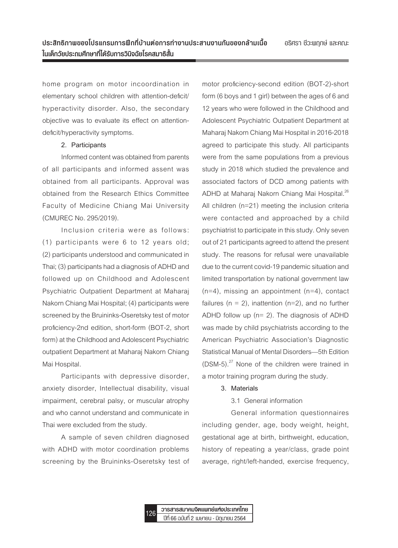home program on motor incoordination in elementary school children with attention-deficit/ hyperactivity disorder. Also, the secondary objective was to evaluate its effect on attentiondeficit/hyperactivity symptoms.

#### **2. Participants**

Informed content was obtained from parents of all participants and informed assent was obtained from all participants. Approval was obtained from the Research Ethics Committee Faculty of Medicine Chiang Mai University (CMUREC No. 295/2019).

Inclusion criteria were as follows: (1) participants were 6 to 12 years old; (2) participants understood and communicated in Thai; (3) participants had a diagnosis of ADHD and followed up on Childhood and Adolescent Psychiatric Outpatient Department at Maharaj Nakorn Chiang Mai Hospital; (4) participants were screened by the Bruininks-Oseretsky test of motor proficiency-2nd edition, short-form (BOT-2, short form) at the Childhood and Adolescent Psychiatric outpatient Department at Maharaj Nakorn Chiang Mai Hospital.

Participants with depressive disorder, anxiety disorder, Intellectual disability, visual impairment, cerebral palsy, or muscular atrophy and who cannot understand and communicate in Thai were excluded from the study.

A sample of seven children diagnosed with ADHD with motor coordination problems screening by the Bruininks-Oseretsky test of motor proficiency-second edition (BOT-2)-short form (6 boys and 1 girl) between the ages of 6 and 12 years who were followed in the Childhood and Adolescent Psychiatric Outpatient Department at Maharaj Nakorn Chiang Mai Hospital in 2016-2018 agreed to participate this study. All participants were from the same populations from a previous study in 2018 which studied the prevalence and associated factors of DCD among patients with ADHD at Maharaj Nakorn Chiang Mai Hospital.<sup>26</sup> All children (n=21) meeting the inclusion criteria were contacted and approached by a child psychiatrist to participate in this study. Only seven out of 21 participants agreed to attend the present study. The reasons for refusal were unavailable due to the current covid-19 pandemic situation and limited transportation by national government law  $(n=4)$ , missing an appointment  $(n=4)$ , contact failures ( $n = 2$ ), inattention ( $n=2$ ), and no further ADHD follow up (n= 2). The diagnosis of ADHD was made by child psychiatrists according to the American Psychiatric Association's Diagnostic Statistical Manual of Mental Disorders—5th Edition (DSM-5).27 None of the children were trained in a motor training program during the study.

#### **3. Materials**

### 3.1 General information

General information questionnaires including gender, age, body weight, height, gestational age at birth, birthweight, education, history of repeating a year/class, grade point average, right/left-handed, exercise frequency,

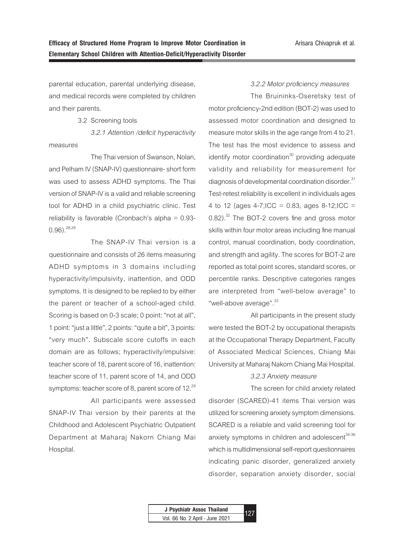parental education, parental underlying disease, and medical records were completed by children and their parents.

#### 3.2 Screening tools

*3.2.1 Attention /deficit hyperactivity measures*

The Thai version of Swanson, Nolan, and Pelham IV (SNAP-IV) questionnaire- short form was used to assess ADHD symptoms. The Thai version of SNAP-IV is a valid and reliable screening tool for ADHD in a child psychiatric clinic. Test reliability is favorable (Cronbach's alpha = 0.93-  $0.96$ ).  $28,29$ 

The SNAP-IV Thai version is a questionnaire and consists of 26 items measuring ADHD symptoms in 3 domains including hyperactivity/impulsivity, inattention, and ODD symptoms. It is designed to be replied to by either the parent or teacher of a school-aged child. Scoring is based on 0-3 scale; 0 point: "not at all", 1 point: "just a little", 2 points: "quite a bit", 3 points: "very much". Subscale score cutoffs in each domain are as follows; hyperactivity/impulsive: teacher score of 18, parent score of 16, inattention: teacher score of 11, parent score of 14, and ODD symptoms: teacher score of 8, parent score of 12. $^{29}$ 

All participants were assessed SNAP-IV Thai version by their parents at the Childhood and Adolescent Psychiatric Outpatient Department at Maharaj Nakorn Chiang Mai Hospital.

#### *3.2.2 Motor proficiency measures*

The Bruininks-Oseretsky test of motor proficiency-2nd edition (BOT-2) was used to assessed motor coordination and designed to measure motor skills in the age range from 4 to 21. The test has the most evidence to assess and identify motor coordination $30$  providing adequate validity and reliability for measurement for diagnosis of developmental coordination disorder.<sup>31</sup> Test-retest reliability is excellent in individuals ages 4 to 12 (ages  $4-7$ ; ICC = 0.83, ages  $8-12$ ; ICC = 0.82).<sup>32</sup> The BOT-2 covers fine and gross motor skills within four motor areas including fine manual control, manual coordination, body coordination, and strength and agility. The scores for BOT-2 are reported as total point scores, standard scores, or percentile ranks. Descriptive categories ranges are interpreted from "well-below average" to "well-above average".<sup>33</sup>

All participants in the present study were tested the BOT-2 by occupational therapists at the Occupational Therapy Department, Faculty of Associated Medical Sciences, Chiang Mai University at Maharaj Nakorn Chiang Mai Hospital.

#### *3.2.3 Anxiety measure*

The screen for child anxiety related disorder (SCARED)-41 items Thai version was utilized for screening anxiety symptom dimensions. SCARED is a reliable and valid screening tool for anxiety symptoms in children and adolescent<sup>34-36</sup> which is multidimensional self-report questionnaires indicating panic disorder, generalized anxiety disorder, separation anxiety disorder, social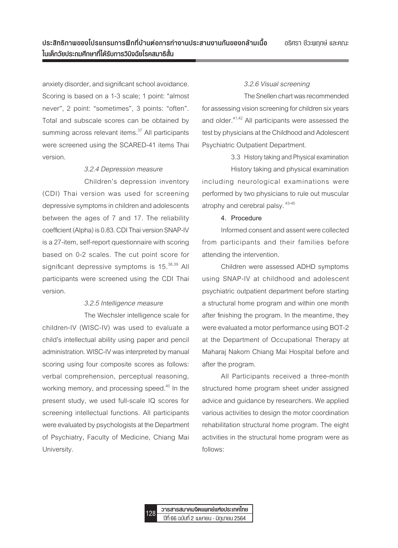anxiety disorder, and significant school avoidance. Scoring is based on a 1-3 scale; 1 point: "almost never", 2 point: "sometimes", 3 points: "often". Total and subscale scores can be obtained by summing across relevant items.<sup>37</sup> All participants were screened using the SCARED-41 items Thai version.

#### *3.2.4 Depression measure*

Children's depression inventory (CDI) Thai version was used for screening depressive symptoms in children and adolescents between the ages of 7 and 17. The reliability coefficient (Alpha) is 0.83. CDI Thai version SNAP-IV is a 27-item, self-report questionnaire with scoring based on 0-2 scales. The cut point score for significant depressive symptoms is  $15.^{38,39}$  All participants were screened using the CDI Thai version.

#### *3.2.5 Intelligence measure*

The Wechsler intelligence scale for children-IV (WISC-IV) was used to evaluate a child's intellectual ability using paper and pencil administration. WISC-IV was interpreted by manual scoring using four composite scores as follows: verbal comprehension, perceptual reasoning, working memory, and processing speed. $40$  In the present study, we used full-scale IQ scores for screening intellectual functions. All participants were evaluated by psychologists at the Department of Psychiatry, Faculty of Medicine, Chiang Mai University.

### *3.2.6 Visual screening*

The Snellen chart was recommended for assessing vision screening for children six years and older.<sup>41,42</sup> All participants were assessed the test by physicians at the Childhood and Adolescent Psychiatric Outpatient Department.

3.3 History taking and Physical examination History taking and physical examination including neurological examinations were performed by two physicians to rule out muscular atrophy and cerebral palsy.  $43-45$ 

#### **4. Procedure**

Informed consent and assent were collected from participants and their families before attending the intervention.

Children were assessed ADHD symptoms using SNAP-IV at childhood and adolescent psychiatric outpatient department before starting a structural home program and within one month after finishing the program. In the meantime, they were evaluated a motor performance using BOT-2 at the Department of Occupational Therapy at Maharaj Nakorn Chiang Mai Hospital before and after the program.

All Participants received a three-month structured home program sheet under assigned advice and guidance by researchers. We applied various activities to design the motor coordination rehabilitation structural home program. The eight activities in the structural home program were as follows:

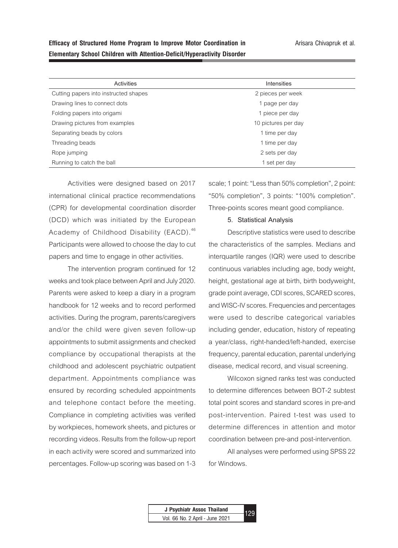| Activities                            | Intensities         |
|---------------------------------------|---------------------|
| Cutting papers into instructed shapes | 2 pieces per week   |
| Drawing lines to connect dots         | 1 page per day      |
| Folding papers into origami           | 1 piece per day     |
| Drawing pictures from examples        | 10 pictures per day |
| Separating beads by colors            | 1 time per day      |
| Threading beads                       | 1 time per day      |
| Rope jumping                          | 2 sets per day      |
| Running to catch the ball             | 1 set per day       |

Activities were designed based on 2017 international clinical practice recommendations (CPR) for developmental coordination disorder (DCD) which was initiated by the European Academy of Childhood Disability (EACD).<sup>46</sup> Participants were allowed to choose the day to cut papers and time to engage in other activities.

The intervention program continued for 12 weeks and took place between April and July 2020. Parents were asked to keep a diary in a program handbook for 12 weeks and to record performed activities. During the program, parents/caregivers and/or the child were given seven follow-up appointments to submit assignments and checked compliance by occupational therapists at the childhood and adolescent psychiatric outpatient department. Appointments compliance was ensured by recording scheduled appointments and telephone contact before the meeting. Compliance in completing activities was verified by workpieces, homework sheets, and pictures or recording videos. Results from the follow-up report in each activity were scored and summarized into percentages. Follow-up scoring was based on 1-3

scale; 1 point: "Less than 50% completion", 2 point: "50% completion", 3 points: "100% completion". Three-points scores meant good compliance.

#### **5. Statistical Analysis**

Descriptive statistics were used to describe the characteristics of the samples. Medians and interquartile ranges (IQR) were used to describe continuous variables including age, body weight, height, gestational age at birth, birth bodyweight, grade point average, CDI scores, SCARED scores, and WISC-IV scores. Frequencies and percentages were used to describe categorical variables including gender, education, history of repeating a year/class, right-handed/left-handed, exercise frequency, parental education, parental underlying disease, medical record, and visual screening.

Wilcoxon signed ranks test was conducted to determine differences between BOT-2 subtest total point scores and standard scores in pre-and post-intervention. Paired t-test was used to determine differences in attention and motor coordination between pre-and post-intervention.

All analyses were performed using SPSS 22 for Windows.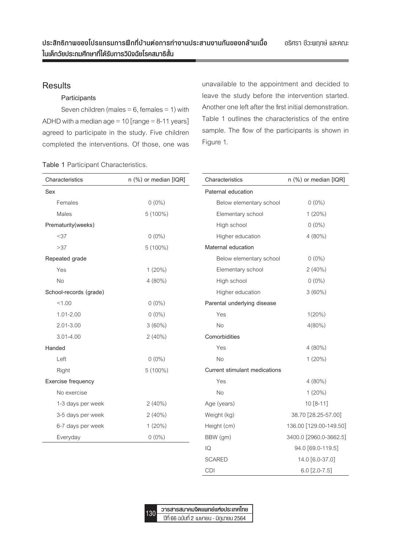# **Results**

# **Participants**

Seven children (males  $= 6$ , females  $= 1$ ) with ADHD with a median  $age = 10$  [range  $= 8-11$  years] agreed to participate in the study. Five children completed the interventions. Of those, one was unavailable to the appointment and decided to leave the study before the intervention started. Another one left after the first initial demonstration. Table 1 outlines the characteristics of the entire sample. The flow of the participants is shown in Figure 1.

| Table 1 Participant Characteristics. |  |
|--------------------------------------|--|
|--------------------------------------|--|

| Characteristics        | n (%) or median [IQR] | Characteristics<br>n (%) or median [IQR] |                        |  |
|------------------------|-----------------------|------------------------------------------|------------------------|--|
| Sex                    |                       | Paternal education                       |                        |  |
| Females                | $0(0\%)$              | Below elementary school                  | $0(0\%)$               |  |
| Males                  | $5(100\%)$            | Elementary school                        | $1(20\%)$              |  |
| Prematurity(weeks)     |                       | High school                              | $0(0\%)$               |  |
| <37                    | $0(0\%)$              | Higher education                         | $4(80\%)$              |  |
| >37                    | $5(100\%)$            | Maternal education                       |                        |  |
| Repeated grade         |                       | Below elementary school                  | $0(0\%)$               |  |
| Yes                    | $1(20\%)$             | Elementary school                        | $2(40\%)$              |  |
| <b>No</b>              | $4(80\%)$             | High school                              | $0(0\%)$               |  |
| School-records (grade) |                       | Higher education                         | $3(60\%)$              |  |
| < 1.00                 | $0(0\%)$              | Parental underlying disease              |                        |  |
| 1.01-2.00              | $0(0\%)$              | Yes                                      | $1(20\%)$              |  |
| $2.01 - 3.00$          | $3(60\%)$             | No                                       | $4(80\%)$              |  |
| $3.01 - 4.00$          | $2(40\%)$             | Comorbidities                            |                        |  |
| Handed                 |                       | Yes                                      | $4(80\%)$              |  |
| Left                   | $0(0\%)$              | No                                       | $1(20\%)$              |  |
| Right                  | $5(100\%)$            | Current stimulant medications            |                        |  |
| Exercise frequency     |                       | Yes                                      | $4(80\%)$              |  |
| No exercise            |                       | No                                       | $1(20\%)$              |  |
| 1-3 days per week      | $2(40\%)$             | Age (years)                              | 10 [8-11]              |  |
| 3-5 days per week      | $2(40\%)$             | Weight (kg)                              | 38.70 [28.25-57.00]    |  |
| 6-7 days per week      | $1(20\%)$             | Height (cm)                              | 136.00 [129.00-149.50] |  |
| Everyday               | $0(0\%)$              | BBW (gm)                                 | 3400.0 [2960.0-3662.5] |  |
|                        |                       | IQ                                       | 94.0 [69.0-119.5]      |  |
|                        |                       | <b>SCARED</b>                            | 14.0 [6.0-37.0]        |  |



**วารสารสมาคมจิตแพทย์แห่งประเทศไทย** 130 <del>- มิโรคาริตม เคมิงค์แนกเอเคมอรรมศกค</del><br>- มีที่ 66 ฉบับที่ 2 เมษายน - มิกุนายน 2564

CDI 6.0 [2.0-7.5]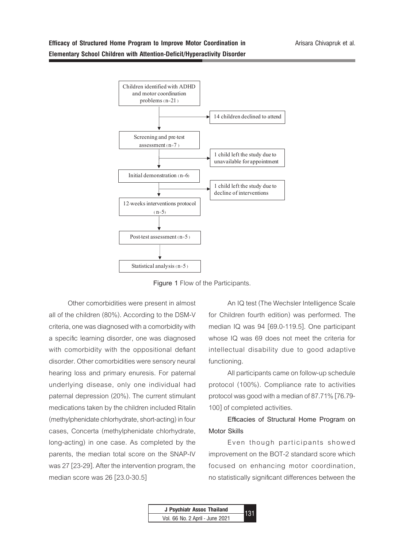# **Efficacy of Structured Home Program to Improve Motor Coordination in Elementary School Children with Attention-Deficit/Hyperactivity Disorder**



**Figure 1** Flow of the Participants.

Other comorbidities were present in almost all of the children (80%). According to the DSM-V criteria, one was diagnosed with a comorbidity with a specific learning disorder, one was diagnosed with comorbidity with the oppositional defiant disorder. Other comorbidities were sensory neural hearing loss and primary enuresis. For paternal underlying disease, only one individual had paternal depression (20%). The current stimulant medications taken by the children included Ritalin (methylphenidate chlorhydrate, short-acting) in four cases, Concerta (methylphenidate chlorhydrate, long-acting) in one case. As completed by the parents, the median total score on the SNAP-IV was 27 [23-29]. After the intervention program, the median score was 26 [23.0-30.5]

An IQ test (The Wechsler Intelligence Scale for Children fourth edition) was performed. The median IQ was 94 [69.0-119.5]. One participant whose IQ was 69 does not meet the criteria for intellectual disability due to good adaptive functioning.

All participants came on follow-up schedule protocol (100%). Compliance rate to activities protocol was good with a median of 87.71% [76.79- 100] of completed activities.

# **Efficacies of Structural Home Program on Motor Skills**

Even though participants showed improvement on the BOT-2 standard score which focused on enhancing motor coordination, no statistically significant differences between the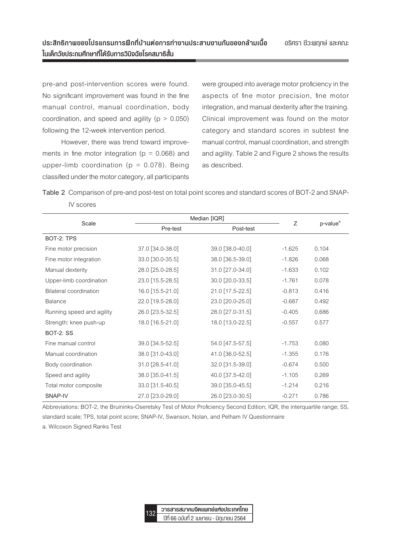pre-and post-intervention scores were found. No significant improvement was found in the fine manual control, manual coordination, body coordination, and speed and agility  $(p > 0.050)$ following the 12-week intervention period.

However, there was trend toward improvements in fine motor integration ( $p = 0.068$ ) and upper-limb coordination ( $p = 0.078$ ). Being classified under the motor category, all participants

were grouped into average motor proficiency in the aspects of fine motor precision, fine motor integration, and manual dexterity after the training. Clinical improvement was found on the motor category and standard scores in subtest fine manual control, manual coordination, and strength and agility. Table 2 and Figure 2 shows the results as described.

**Table 2** Comparison of pre-and post-test on total point scores and standard scores of BOT-2 and SNAP-IV scores

| Scale                         | Median [IQR]     |                  | Ζ        |                      |
|-------------------------------|------------------|------------------|----------|----------------------|
|                               | Pre-test         | Post-test        |          | p-value <sup>a</sup> |
| BOT-2: TPS                    |                  |                  |          |                      |
| Fine motor precision          | 37.0 [34.0-38.0] | 39.0 [38.0-40.0] | $-1.625$ | 0.104                |
| Fine motor integration        | 33.0 [30.0-35.5] | 38.0 [36.5-39.0] | $-1.826$ | 0.068                |
| Manual dexterity              | 28.0 [25.0-28.5] | 31.0 [27.0-34.0] | $-1.633$ | 0.102                |
| Upper-limb coordination       | 23.0 [15.5-28.5] | 30.0 [20.0-33.5] | $-1.761$ | 0.078                |
| <b>Bilateral coordination</b> | 16.0 [15.5-21.0] | 21.0 [17.5-22.5] | $-0.813$ | 0.416                |
| <b>Balance</b>                | 22.0 [19.5-28.0] | 23.0 [20.0-25.0] | $-0.687$ | 0.492                |
| Running speed and agility     | 26.0 [23.5-32.5] | 28.0 [27.0-31.5] | $-0.405$ | 0.686                |
| Strength: knee push-up        | 18.0 [16.5-21.0] | 18.0 [13.0-22.5] | $-0.557$ | 0.577                |
| <b>BOT-2: SS</b>              |                  |                  |          |                      |
| Fine manual control           | 39.0 [34.5-52.5] | 54.0 [47.5-57.5] | $-1.753$ | 0.080                |
| Manual coordination           | 38.0 [31.0-43.0] | 41.0 [36.0-52.5] | $-1.355$ | 0.176                |
| Body coordination             | 31.0 [28.5-41.0] | 32.0 [31.5-39.0] | $-0.674$ | 0.500                |
| Speed and agility             | 38.0 [35.0-41.5] | 40.0 [37.5-42.0] | $-1.105$ | 0.269                |
| Total motor composite         | 33.0 [31.5-40.5] | 39.0 [35.0-45.5] | $-1.214$ | 0.216                |
| SNAP-IV                       | 27.0 [23.0-29.0] | 26.0 [23.0-30.5] | $-0.271$ | 0.786                |

Abbreviations: BOT-2, the Bruininks-Oseretsky Test of Motor Proficiency Second Edition; IQR, the interquartile range; SS, standard scale; TPS, total point score; SNAP-IV, Swanson, Nolan, and Pelham IV Questionnaire

a. Wilcoxon Signed Ranks Test

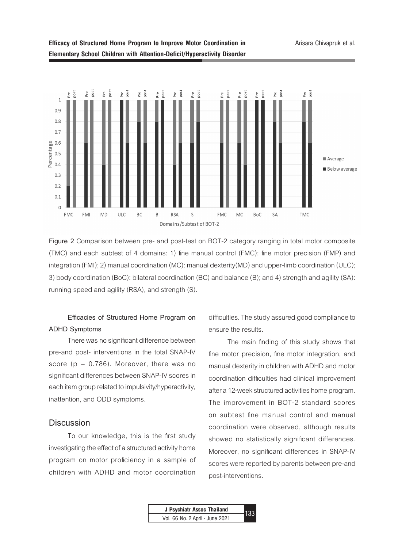

**Figure 2** Comparison between pre- and post-test on BOT-2 category ranging in total motor composite (TMC) and each subtest of 4 domains: 1) fine manual control (FMC): fine motor precision (FMP) and integration (FMI); 2) manual coordination (MC): manual dexterity(MD) and upper-limb coordination (ULC); 3) body coordination (BoC): bilateral coordination (BC) and balance (B); and 4) strength and agility (SA): running speed and agility (RSA), and strength (S).

# **Efficacies of Structured Home Program on ADHD Symptoms**

There was no significant difference between pre-and post- interventions in the total SNAP-IV score  $(p = 0.786)$ . Moreover, there was no significant differences between SNAP-IV scores in each item group related to impulsivity/hyperactivity, inattention, and ODD symptoms.

### **Discussion**

To our knowledge, this is the first study investigating the effect of a structured activity home program on motor proficiency in a sample of children with ADHD and motor coordination difficulties. The study assured good compliance to ensure the results.

The main finding of this study shows that fine motor precision, fine motor integration, and manual dexterity in children with ADHD and motor coordination difficulties had clinical improvement after a 12-week structured activities home program. The improvement in BOT-2 standard scores on subtest fine manual control and manual coordination were observed, although results showed no statistically significant differences. Moreover, no significant differences in SNAP-IV scores were reported by parents between pre-and post-interventions.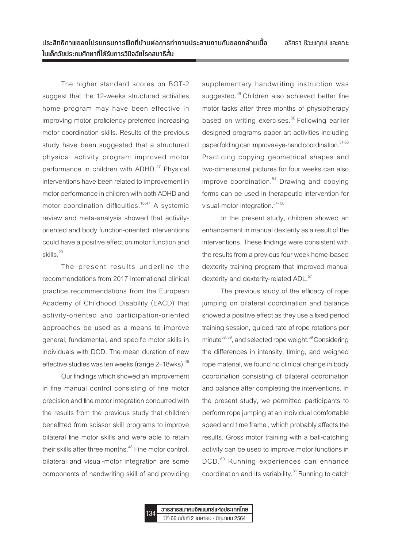The higher standard scores on BOT-2 suggest that the 12-weeks structured activities home program may have been effective in improving motor proficiency preferred increasing motor coordination skills. Results of the previous study have been suggested that a structured physical activity program improved motor performance in children with ADHD.<sup>47</sup> Physical interventions have been related to improvement in motor performance in children with both ADHD and motor coordination difficulties.<sup>10,47</sup> A systemic review and meta-analysis showed that activityoriented and body function-oriented interventions could have a positive effect on motor function and skills.<sup>20</sup>

The present results underline the recommendations from 2017 international clinical practice recommendations from the European Academy of Childhood Disability (EACD) that activity-oriented and participation-oriented approaches be used as a means to improve general, fundamental, and specific motor skills in individuals with DCD. The mean duration of new effective studies was ten weeks (range 2-18wks). <sup>46</sup>

Our findings which showed an improvement in fine manual control consisting of fine motor precision and fine motor integration concurred with the results from the previous study that children benefitted from scissor skill programs to improve bilateral fine motor skills and were able to retain their skills after three months.<sup>48</sup> Fine motor control, bilateral and visual-motor integration are some components of handwriting skill of and providing supplementary handwriting instruction was suggested.<sup>49</sup> Children also achieved better fine motor tasks after three months of physiotherapy based on writing exercises.<sup>50</sup> Following earlier designed programs paper art activities including paper folding can improve eye-hand coordination.<sup>51-53</sup> Practicing copying geometrical shapes and two-dimensional pictures for four weeks can also improve coordination. $54$  Drawing and copying forms can be used in therapeutic intervention for visual-motor integration.<sup>54-56</sup>

In the present study, children showed an enhancement in manual dexterity as a result of the interventions. These findings were consistent with the results from a previous four week home-based dexterity training program that improved manual dexterity and dexterity-related ADL.<sup>57</sup>

The previous study of the efficacy of rope jumping on bilateral coordination and balance showed a positive effect as they use a fixed period training session, guided rate of rope rotations per minute<sup>58, 59</sup>, and selected rope weight.<sup>59</sup> Considering the differences in intensity, timing, and weighed rope material, we found no clinical change in body coordination consisting of bilateral coordination and balance after completing the interventions. In the present study, we permitted participants to perform rope jumping at an individual comfortable speed and time frame , which probably affects the results. Gross motor training with a ball-catching activity can be used to improve motor functions in DCD.<sup>60</sup> Running experiences can enhance coordination and its variability. $61$  Running to catch

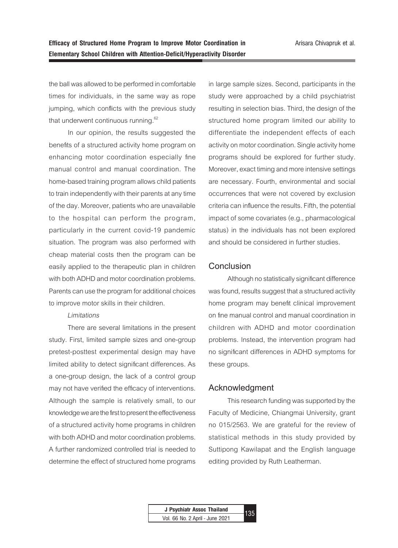the ball was allowed to be performed in comfortable times for individuals, in the same way as rope jumping, which conflicts with the previous study that underwent continuous running.<sup>62</sup>

In our opinion, the results suggested the benefits of a structured activity home program on enhancing motor coordination especially fine manual control and manual coordination. The home-based training program allows child patients to train independently with their parents at any time of the day. Moreover, patients who are unavailable to the hospital can perform the program, particularly in the current covid-19 pandemic situation. The program was also performed with cheap material costs then the program can be easily applied to the therapeutic plan in children with both ADHD and motor coordination problems. Parents can use the program for additional choices to improve motor skills in their children.

#### *Limitations*

There are several limitations in the present study. First, limited sample sizes and one-group pretest-posttest experimental design may have limited ability to detect significant differences. As a one-group design, the lack of a control group may not have verified the efficacy of interventions. Although the sample is relatively small, to our knowledge we are the first to present the effectiveness of a structured activity home programs in children with both ADHD and motor coordination problems. A further randomized controlled trial is needed to determine the effect of structured home programs

in large sample sizes. Second, participants in the study were approached by a child psychiatrist resulting in selection bias. Third, the design of the structured home program limited our ability to differentiate the independent effects of each activity on motor coordination. Single activity home programs should be explored for further study. Moreover, exact timing and more intensive settings are necessary. Fourth, environmental and social occurrences that were not covered by exclusion criteria can influence the results. Fifth, the potential impact of some covariates (e.g., pharmacological status) in the individuals has not been explored and should be considered in further studies.

### **Conclusion**

Although no statistically significant difference was found, results suggest that a structured activity home program may benefit clinical improvement on fine manual control and manual coordination in children with ADHD and motor coordination problems. Instead, the intervention program had no significant differences in ADHD symptoms for these groups.

#### **Acknowledgment**

This research funding was supported by the Faculty of Medicine, Chiangmai University, grant no 015/2563. We are grateful for the review of statistical methods in this study provided by Suttipong Kawilapat and the English language editing provided by Ruth Leatherman.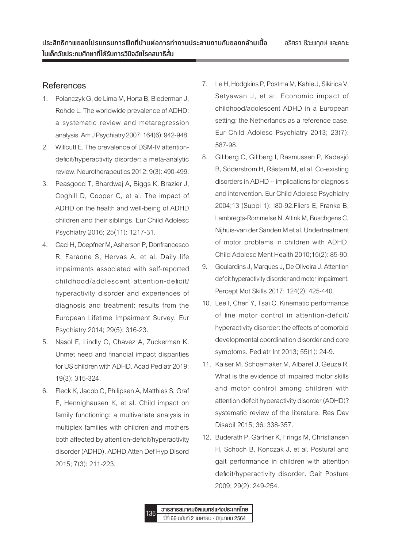# **References**

- 1. Polanczyk G, de Lima M, Horta B, Biederman J, Rohde L. The worldwide prevalence of ADHD: a systematic review and metaregression analysis. Am J Psychiatry 2007; 164(6): 942-948.
- 2. Willcutt E. The prevalence of DSM-IV attentiondeficit/hyperactivity disorder: a meta-analytic review. Neurotherapeutics 2012; 9(3): 490-499.
- 3. Peasgood T, Bhardwaj A, Biggs K, Brazier J, Coghill D, Cooper C, et al. The impact of ADHD on the health and well-being of ADHD children and their siblings. Eur Child Adolesc Psychiatry 2016; 25(11): 1217-31.
- 4. Caci H, Doepfner M, Asherson P, Donfrancesco R, Faraone S, Hervas A, et al. Daily life impairments associated with self-reported childhood/adolescent attention-deficit/ hyperactivity disorder and experiences of diagnosis and treatment: results from the European Lifetime Impairment Survey. Eur Psychiatry 2014; 29(5): 316-23.
- 5. Nasol E, Lindly O, Chavez A, Zuckerman K. Unmet need and financial impact disparities for US children with ADHD. Acad Pediatr 2019; 19(3): 315-324.
- 6. Fleck K, Jacob C, Philipsen A, Matthies S, Graf E, Hennighausen K, et al. Child impact on family functioning: a multivariate analysis in multiplex families with children and mothers both affected by attention-deficit/hyperactivity disorder (ADHD). ADHD Atten Def Hyp Disord 2015; 7(3): 211-223.
- 7. Le H, Hodgkins P, Postma M, Kahle J, Sikirica V, Setyawan J, et al. Economic impact of childhood/adolescent ADHD in a European setting: the Netherlands as a reference case. Eur Child Adolesc Psychiatry 2013; 23(7): 587-98.
- 8. Gillberg C, Gillberg I, Rasmussen P, Kadesjö B, Söderström H, Råstam M, et al. Co-existing disorders in ADHD -- implications for diagnosis and intervention. Eur Child Adolesc Psychiatry 2004;13 (Suppl 1): I80-92.Fliers E, Franke B, Lambregts-Rommelse N, Altink M, Buschgens C, Nijhuis-van der Sanden M et al. Undertreatment of motor problems in children with ADHD. Child Adolesc Ment Health 2010;15(2): 85-90.
- 9. Goulardins J, Marques J, De Oliveira J. Attention deficit hyperactivity disorder and motor impairment. Percept Mot Skills 2017; 124(2): 425-440.
- 10. Lee I, Chen Y, Tsai C. Kinematic performance of fine motor control in attention-deficit/ hyperactivity disorder: the effects of comorbid developmental coordination disorder and core symptoms. Pediatr Int 2013; 55(1): 24-9.
- 11. Kaiser M, Schoemaker M, Albaret J, Geuze R. What is the evidence of impaired motor skills and motor control among children with attention deficit hyperactivity disorder (ADHD)? systematic review of the literature. Res Dev Disabil 2015; 36: 338-357.
- 12. Buderath P, Gärtner K, Frings M, Christiansen H, Schoch B, Konczak J, et al. Postural and gait performance in children with attention deficit/hyperactivity disorder. Gait Posture 2009; 29(2): 249-254.

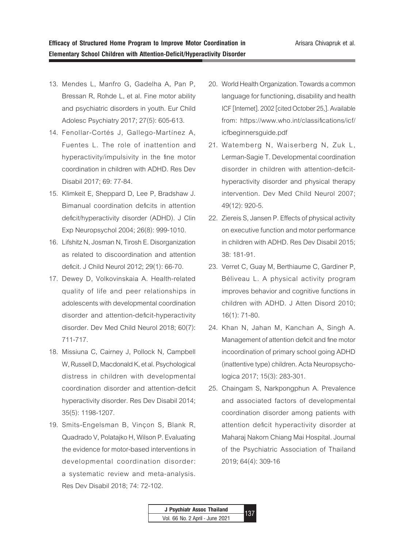- 13. Mendes L, Manfro G, Gadelha A, Pan P, Bressan R, Rohde L, et al. Fine motor ability and psychiatric disorders in youth. Eur Child Adolesc Psychiatry 2017; 27(5): 605-613.
- 14. Fenollar-Cortés J, Gallego-Martínez A, Fuentes L. The role of inattention and hyperactivity/impulsivity in the fine motor coordination in children with ADHD. Res Dev Disabil 2017; 69: 77-84.
- 15. Klimkeit E, Sheppard D, Lee P, Bradshaw J. Bimanual coordination deficits in attention deficit/hyperactivity disorder (ADHD). J Clin Exp Neuropsychol 2004; 26(8): 999-1010.
- 16. Lifshitz N, Josman N, Tirosh E. Disorganization as related to discoordination and attention deficit. J Child Neurol 2012; 29(1): 66-70.
- 17. Dewey D, Volkovinskaia A. Health-related quality of life and peer relationships in adolescents with developmental coordination disorder and attention-deficit-hyperactivity disorder. Dev Med Child Neurol 2018; 60(7): 711-717.
- 18. Missiuna C, Cairney J, Pollock N, Campbell W, Russell D, Macdonald K, et al. Psychological distress in children with developmental coordination disorder and attention-deficit hyperactivity disorder. Res Dev Disabil 2014; 35(5): 1198-1207.
- 19. Smits-Engelsman B, Vinçon S, Blank R, Quadrado V, Polatajko H, Wilson P. Evaluating the evidence for motor-based interventions in developmental coordination disorder: a systematic review and meta-analysis. Res Dev Disabil 2018; 74: 72-102.
- 20. World Health Organization. Towards a common language for functioning, disability and health ICF [Internet]. 2002 [cited October 25,]. Available from: https://www.who.int/classifications/icf/ icfbeginnersguide.pdf
- 21. Watemberg N, Waiserberg N, Zuk L, Lerman-Sagie T. Developmental coordination disorder in children with attention-deficithyperactivity disorder and physical therapy intervention. Dev Med Child Neurol 2007; 49(12): 920-5.
- 22. Ziereis S, Jansen P. Effects of physical activity on executive function and motor performance in children with ADHD. Res Dev Disabil 2015; 38: 181-91.
- 23. Verret C, Guay M, Berthiaume C, Gardiner P, Béliveau L. A physical activity program improves behavior and cognitive functions in children with ADHD. J Atten Disord 2010; 16(1): 71-80.
- 24. Khan N, Jahan M, Kanchan A, Singh A. Management of attention deficit and fine motor incoordination of primary school going ADHD (inattentive type) children. Acta Neuropsychologica 2017; 15(3): 283-301.
- 25. Chaingam S, Narkpongphun A. Prevalence and associated factors of developmental coordination disorder among patients with attention deficit hyperactivity disorder at Maharaj Nakorn Chiang Mai Hospital. Journal of the Psychiatric Association of Thailand 2019; 64(4): 309-16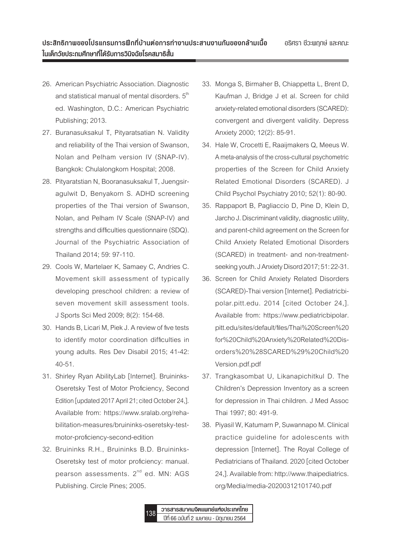- 26. American Psychiatric Association. Diagnostic and statistical manual of mental disorders.  $5<sup>th</sup>$ ed. Washington, D.C.: American Psychiatric Publishing; 2013.
- 27. Buranasuksakul T, Pityaratsatian N. Validity and reliability of the Thai version of Swanson, Nolan and Pelham version IV (SNAP-IV). Bangkok: Chulalongkorn Hospital; 2008.
- 28. Pityaratstian N, Booranasuksakul T, Juengsiragulwit D, Benyakorn S. ADHD screening properties of the Thai version of Swanson, Nolan, and Pelham IV Scale (SNAP-IV) and strengths and difficulties questionnaire (SDQ). Journal of the Psychiatric Association of Thailand 2014; 59: 97-110.
- 29. Cools W, Martelaer K, Samaey C, Andries C. Movement skill assessment of typically developing preschool children: a review of seven movement skill assessment tools. J Sports Sci Med 2009; 8(2): 154-68.
- 30. Hands B, Licari M, Piek J. A review of five tests to identify motor coordination difficulties in young adults. Res Dev Disabil 2015; 41-42: 40-51.
- 31. Shirley Ryan AbilityLab [Internet]. Bruininks-Oseretsky Test of Motor Proficiency, Second Edition [updated 2017 April 21; cited October 24,]. Available from: https://www.sralab.org/rehabilitation-measures/bruininks-oseretsky-testmotor-proficiency-second-edition
- 32. Bruininks R.H., Bruininks B.D. Bruininks-Oseretsky test of motor proficiency: manual. pearson assessments. 2<sup>nd</sup> ed. MN: AGS Publishing. Circle Pines; 2005.
- 33. Monga S, Birmaher B, Chiappetta L, Brent D, Kaufman J, Bridge J et al. Screen for child anxiety-related emotional disorders (SCARED): convergent and divergent validity. Depress Anxiety 2000; 12(2): 85-91.
- 34. Hale W, Crocetti E, Raaijmakers Q, Meeus W. A meta-analysis of the cross-cultural psychometric properties of the Screen for Child Anxiety Related Emotional Disorders (SCARED). J Child Psychol Psychiatry 2010; 52(1): 80-90.
- 35. Rappaport B, Pagliaccio D, Pine D, Klein D, Jarcho J. Discriminant validity, diagnostic utility, and parent-child agreement on the Screen for Child Anxiety Related Emotional Disorders (SCARED) in treatment- and non-treatmentseeking youth. J Anxiety Disord 2017; 51: 22-31.
- 36. Screen for Child Anxiety Related Disorders (SCARED)-Thai version [Internet]. Pediatricbipolar.pitt.edu. 2014 [cited October 24,]. Available from: https://www.pediatricbipolar. pitt.edu/sites/default/files/Thai%20Screen%20 for%20Child%20Anxiety%20Related%20Disorders%20%28SCARED%29%20Child%20 Version.pdf.pdf
- 37. Trangkasombat U, Likanapichitkul D. The Children's Depression Inventory as a screen for depression in Thai children. J Med Assoc Thai 1997; 80: 491-9.
- 38. Piyasil W, Katumarn P, Suwannapo M. Clinical practice guideline for adolescents with depression [Internet]. The Royal College of Pediatricians of Thailand. 2020 [cited October 24,]. Available from: http://www.thaipediatrics. org/Media/media-20200312101740.pdf

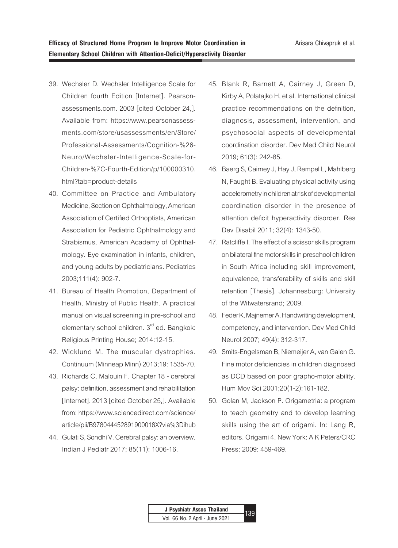- 39. Wechsler D. Wechsler Intelligence Scale for Children fourth Edition [Internet]. Pearsonassessments.com. 2003 [cited October 24,]. Available from: https://www.pearsonassessments.com/store/usassessments/en/Store/ Professional-Assessments/Cognition-%26- Neuro/Wechsler-Intelligence-Scale-for-Children-%7C-Fourth-Edition/p/100000310. html?tab=product-details
- 40. Committee on Practice and Ambulatory Medicine, Section on Ophthalmology, American Association of Certified Orthoptists, American Association for Pediatric Ophthalmology and Strabismus, American Academy of Ophthalmology. Eye examination in infants, children, and young adults by pediatricians. Pediatrics 2003;111(4): 902-7.
- 41. Bureau of Health Promotion, Department of Health, Ministry of Public Health. A practical manual on visual screening in pre-school and elementary school children. 3<sup>rd</sup> ed. Bangkok: Religious Printing House; 2014:12-15.
- 42. Wicklund M. The muscular dystrophies. Continuum (Minneap Minn) 2013;19: 1535-70.
- 43. Richards C, Malouin F. Chapter 18 cerebral palsy: definition, assessment and rehabilitation [Internet]. 2013 [cited October 25,]. Available from: https://www.sciencedirect.com/science/ article/pii/B978044452891900018X?via%3Dihub
- 44. Gulati S, Sondhi V. Cerebral palsy: an overview. Indian J Pediatr 2017; 85(11): 1006-16.
- 45. Blank R, Barnett A, Cairney J, Green D, Kirby A, Polatajko H, et al. International clinical practice recommendations on the definition, diagnosis, assessment, intervention, and psychosocial aspects of developmental coordination disorder. Dev Med Child Neurol 2019; 61(3): 242-85.
- 46. Baerg S, Cairney J, Hay J, Rempel L, Mahlberg N, Faught B. Evaluating physical activity using accelerometry in children at risk of developmental coordination disorder in the presence of attention deficit hyperactivity disorder. Res Dev Disabil 2011; 32(4): 1343-50.
- 47. Ratcliffe I. The effect of a scissor skills program on bilateral fine motor skills in preschool children in South Africa including skill improvement, equivalence, transferability of skills and skill retention [Thesis]. Johannesburg: University of the Witwatersrand; 2009.
- 48. Feder K, Majnemer A. Handwriting development, competency, and intervention. Dev Med Child Neurol 2007; 49(4): 312-317.
- 49. Smits-Engelsman B, Niemeijer A, van Galen G. Fine motor deficiencies in children diagnosed as DCD based on poor grapho-motor ability. Hum Mov Sci 2001;20(1-2):161-182.
- 50. Golan M, Jackson P. Origametria: a program to teach geometry and to develop learning skills using the art of origami. In: Lang R, editors. Origami 4. New York: A K Peters/CRC Press; 2009: 459-469.